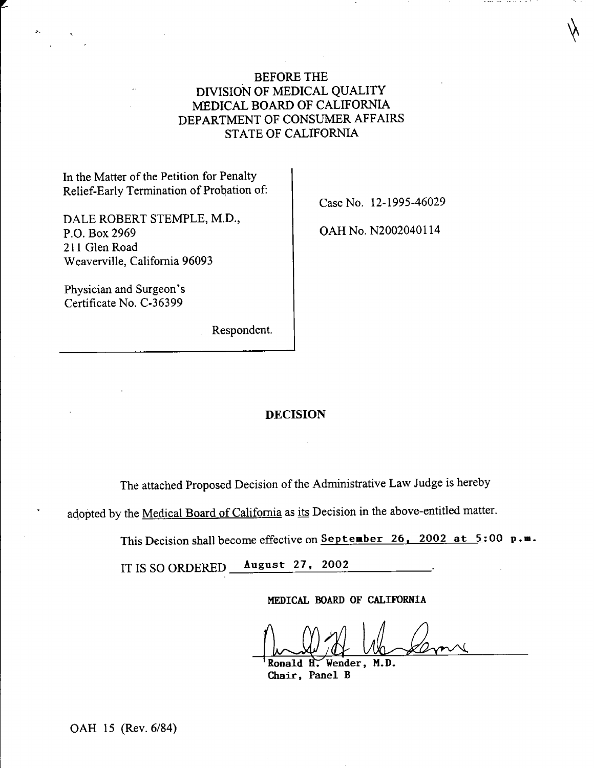# BEFORE THE DIVISION OF MEDICAL QUALITY MEDICAL BOARD OF CALIFORNIA DEPARTMENT OF CONSUMER AFFAIRS STATE OF CALIFORNIA

In the Matter of the Petition for Penalty Relief-Early Termination of Probation of:

DALE ROBERT STEMPLE, M.D., P.O. Box 2969 211 Glen Road Weaverville, California 96093

Physician and Surgeon's Certificate No. C-36399

Respondent.

Case No. 12-1995-46029

OAH No. N2002040114

### DECISION

The attached Proposed Decision of the Administrative Law Judge is hereby

adopted by the Medical Board of California as its Decision in the above-entitled matter.

This Decision shall become effective on September 26, 2002 at 5:00  $p.m.$ 

IT IS SO ORDERED **August 27, 2002** 

MEDICAL BOARD OF CALIFORNIA

Ronald  $\hat{H}$ . Wender, M.D. Chair, Panel B

OAH 15 (Rev. 6/84)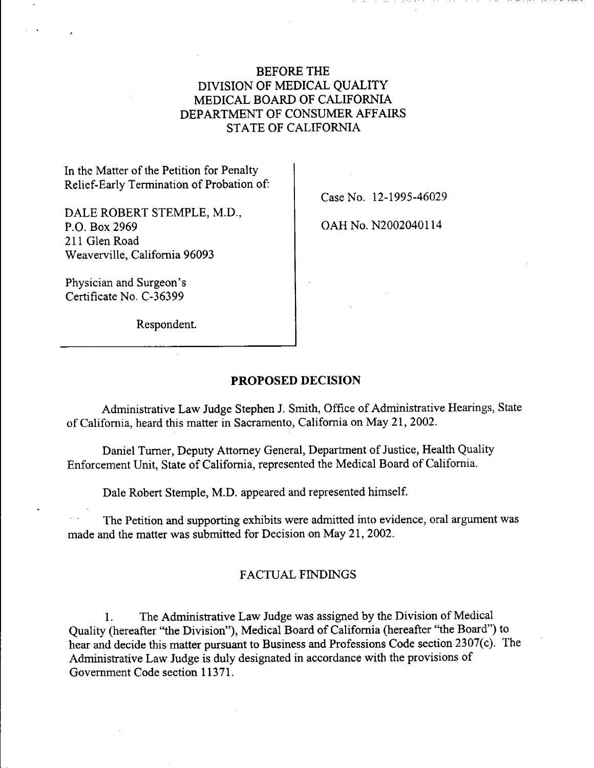# BEFORE THE DIVISION OF MEDICAL QUALITY MEDICAL BOARD OF CALIFORNIA DEPARTMENT OF CONSUMER AFFAIRS STATE OF CALIFORNIA

In the Matter of the Petition for Penalty Relief-Early Termination of Probation of:

DALE ROBERT STEMPLE, M.D., P.O. Box 2969 211 Glen Road Weaverville, California 96093

Physician and Surgeon's Certificate No. C-36399

Respondent.

Case No. 12-1995-46029

OAH No. N2002040114

### **PROPOSED** DECISION

Administrative Law Judge Stephen J. Smith, Office of Administrative Hearings, State of California, heard this matter in Sacramento, California on May 21, 2002.

Daniel Turner, Deputy Attorney General, Department of Justice, Health Quality Enforcement Unit, State of California, represented the Medical Board of California.

Dale Robert Stemple, M.D. appeared and represented himself.

The Petition and supporting exhibits were admitted into evidence, oral argument was made and the matter was submitted for Decision on May 21, 2002.

### FACTUAL FINDINGS

1. The Administrative Law Judge was assigned by the Division of Medical Quality (hereafter "the Division"), Medical Board of California (hereafter "the Board") to hear and decide this matter pursuant to Business and Professions Code section 2307(c). The Administrative Law Judge is duly designated in accordance with the provisions of Government Code section 11371.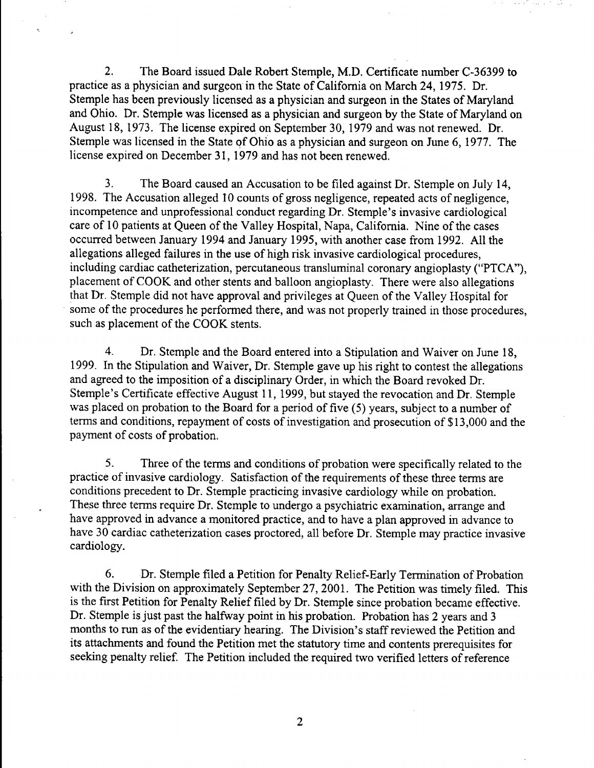2. The Board issued Dale Robert Stemple, M.D. Certificate number C-36399 to practice as a physician and surgeon in the State of California on March 24, 1975. Dr. Stemple has been previously licensed as a physician and surgeon in the States of Maryland and Ohio. Dr. Stemple was licensed as a physician and surgeon by the State of Maryland on August 18, 1973. The license expired on September 30, 1979 and was not renewed. Dr. Stemple was licensed in the State of Ohio as a physician and surgeon on June 6, 1977. The license expired on December 31, 1979 and has not been renewed.

3. The Board caused an Accusation to be filed against Dr. Stemple on July 14, 1998. The Accusation alleged 10 counts of gross negligence, repeated acts of negligence, incompetence and unprofessional conduct regarding Dr. Stemple's invasive cardiological care of 10 patients at Queen of the Valley Hospital, Napa, California. Nine of the cases occurred between January 1994 and January 1995, with another case from 1992. All the allegations alleged failures in the use of high risk invasive cardiological procedures, including cardiac catheterization, percutaneous transluminal coronary angioplasty ("PTCA"), <sup>p</sup>lacement of COOK and other stents and balloon angioplasty. There were also allegations that Dr. Stemple did not have approval and privileges at Queen of the Valley Hospital for some of the procedures he performed there, and was not properly trained in those procedures, such as placement of the COOK stents.

4. Dr. Stemple and the Board entered into a Stipulation and Waiver on June 18, 1999. In the Stipulation and Waiver, Dr. Stemple gave up his right to contest the allegations and agreed to the imposition of a disciplinary Order, in which the Board revoked Dr. Stemple's Certificate effective August 11, 1999, but stayed the revocation and Dr. Stemple was placed on probation to the Board for a period of five (5) years, subject to a number of terms and conditions, repayment of costs of investigation and prosecution of \$13,000 and the payment of costs of probation.

5. Three of the terms and conditions of probation were specifically related to the practice of invasive cardiology. Satisfaction of the requirements of these three terms are conditions precedent to Dr. Stemple practicing invasive cardiology while on probation. These three terms require Dr. Stemple to undergo a psychiatric examination, arrange and have approved in advance a monitored practice, and to have a plan approved in advance to have 30 cardiac catheterization cases proctored, all before Dr. Stemple may practice invasive cardiology.

6. Dr. Stemple filed a Petition for Penalty Relief-Early Termination of Probation with the Division on approximately September 27, 2001. The Petition was timely filed. This is the first Petition for Penalty Relief filed by Dr. Stemple since probation became effective. Dr. Stemple is just past the halfway point in his probation. Probation has 2 years and 3 months to run as of the evidentiary hearing. The Division's staff reviewed the Petition and its attachments and found the Petition met the statutory time and contents prerequisites for seeking penalty relief. The Petition included the required two verified letters of reference

2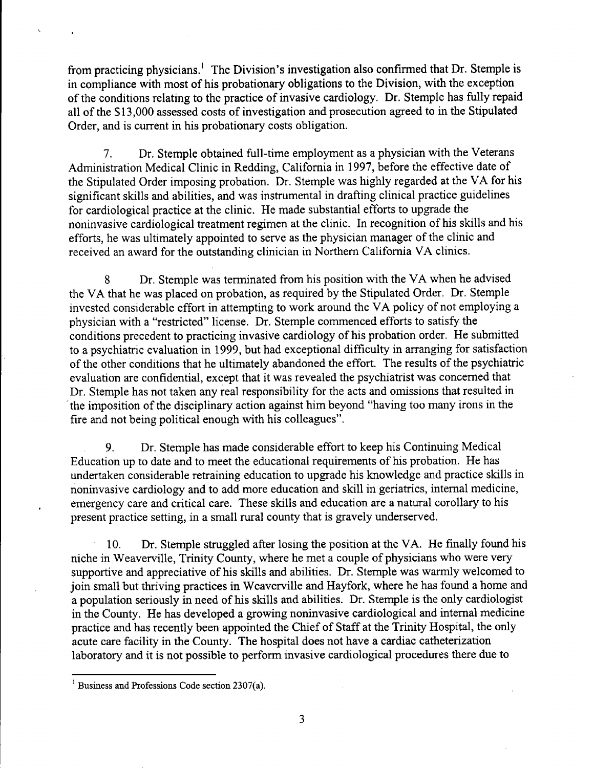from practicing physicians.' The Division's investigation also confirmed that Dr. Stemple is in compliance with most of his probationary obligations to the Division, with the exception of the conditions relating to the practice of invasive cardiology. Dr. Stemple has fully repaid all of the \$13,000 assessed costs of investigation and prosecution agreed to in the Stipulated Order, and is current in his probationary costs obligation.

7. Dr. Stemple obtained full-time employment as a physician with the Veterans Administration Medical Clinic in Redding, California in 1997, before the effective date of the Stipulated Order imposing probation. Dr. Stemple was highly regarded at the VA for his significant skills and abilities, and was instrumental in drafting clinical practice guidelines for cardiological practice at the clinic. He made substantial efforts to upgrade the noninvasive cardiological treatment regimen at the clinic. In recognition of his skills and his efforts, he was ultimately appointed to serve as the physician manager of the clinic and received an award for the outstanding clinician in Northern California VA clinics.

8 Dr. Stemple was terminated from his position with the VA when he advised the VA that he was placed on probation, as required by the Stipulated Order. Dr. Stemple invested considerable effort in attempting to work around the VA policy of not employing a <sup>p</sup>hysician with a "restricted" license. Dr. Stemple commenced efforts to satisfy the conditions precedent to practicing invasive cardiology of his probation order. He submitted to a psychiatric evaluation in 1999, but had exceptional difficulty in arranging for satisfaction of the other conditions that he ultimately abandoned the effort. The results of the psychiatric evaluation are confidential, except that it was revealed the psychiatrist was concerned that Dr. Stemple has not taken any real responsibility for the acts and omissions that resulted in the imposition of the disciplinary action against him beyond "having too many irons in the fire and not being political enough with his colleagues".

9. Dr. Stemple has made considerable effort to keep his Continuing Medical Education up to date and to meet the educational requirements of his probation. He has undertaken considerable retraining education to upgrade his knowledge and practice skills in noninvasive cardiology and to add more education and skill in geriatrics, internal medicine, emergency care and critical care. These skills and education are a natural corollary to his present practice setting, in a small rural county that is gravely underserved.

10. Dr. Stemple struggled after losing the position at the VA. He finally found his niche in Weaverville, Trinity County, where he met a couple of physicians who were very supportive and appreciative of his skills and abilities. Dr. Stemple was warmly welcomed to join small but thriving practices in Weaverville and Hayfork, where he has found a home and a population seriously in need of his skills and abilities. Dr. Stemple is the only cardiologist in the County. He has developed a growing noninvasive cardiological and internal medicine practice and has recently been appointed the Chief of Staff at the Trinity Hospital, the only acute care facility in the County. The hospital does not have a cardiac catheterization laboratory and it is not possible to perform invasive cardiological procedures there due to

 $<sup>1</sup>$  Business and Professions Code section 2307(a).</sup>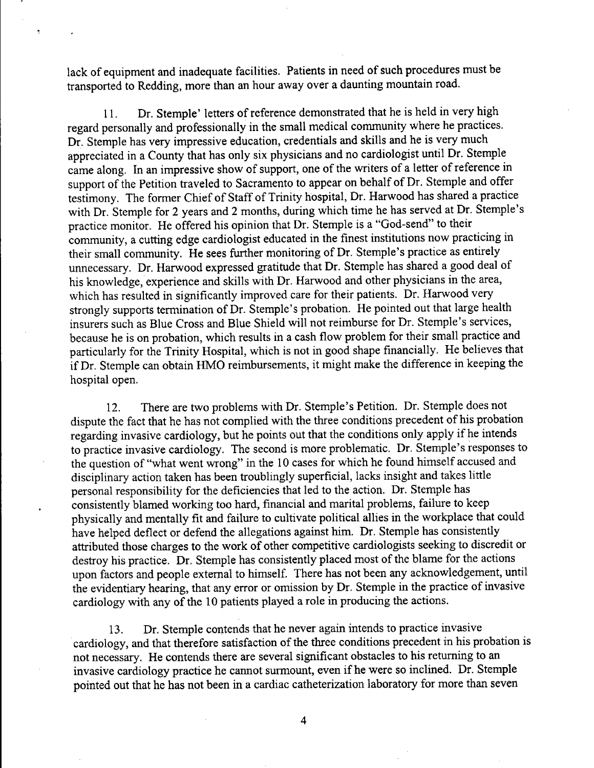lack of equipment and inadequate facilities. Patients in need of such procedures must be transported to Redding, more than an hour away over a daunting mountain road.

11. Dr. Stemple' letters of reference demonstrated that he is held in very high regard personally and professionally in the small medical conununity where he practices. Dr. Stemple has very impressive education, credentials and skills and he is very much appreciated in a County that has only six physicians and no cardiologist until Dr. Stemple came along. In an impressive show of support, one of the writers of a letter of reference in support of the Petition traveled to Sacramento to appear on behalf of Dr. Stemple and offer testimony. The former Chief of Staff of Trinity hospital, Dr. Harwood has shared a practice with Dr. Stemple for 2 years and 2 months, during which time he has served at Dr. Stemple's practice monitor. He offered his opinion that Dr. Stemple is a "God-send" to their conununity, a cutting edge cardiologist educated in the finest institutions now practicing in their small community. He sees further monitoring of Dr. Stemple's practice as entirely unnecessary. Dr. Harwood expressed gratitude that Dr. Stemple has shared a good deal of his knowledge, experience and skills with Dr. Harwood and other physicians in the area, which has resulted in significantly improved care for their patients. Dr. Harwood very strongly supports termination of Dr. Stemple's probation. He pointed out that large health insurers such as Blue Cross and Blue Shield will not reimburse for Dr. Stemple's services, because he is on probation, which results in a cash flow problem for their small practice and particularly for the Trinity Hospital, which is not in good shape financially. He believes that if Dr. Stemple can obtain HMO reimbursements, it might make the difference in keeping the hospital open.

12. There are two problems with Dr. Stemple's Petition. Dr. Stemple does not dispute the fact that he has not complied with the three conditions precedent of his probation regarding invasive cardiology, but he points out that the conditions only apply if he intends to practice invasive cardiology. The second is more problematic. Dr. Stemple's responses to the question of "what went wrong" in the 10 cases for which he found himself accused and disciplinary action taken has been troublingly superficial, lacks insight and takes little personal responsibility for the deficiencies that led to the action. Dr. Stemple has consistently blamed working too hard, financial and marital problems, failure to keep <sup>p</sup>hysically and mentally fit and failure to cultivate political allies in the workplace that could have helped deflect or defend the allegations against him. Dr. Stemple has consistently attributed those charges to the work of other competitive cardiologists seeking to discredit or destroy his practice. Dr. Stemple has consistently placed most of the blame for the actions upon factors and people external to himself. There has not been any acknowledgement, until the evidentiary hearing, that any error or omission by Dr. Stemple in the practice of invasive cardiology with any of the 10 patients played a role in producing the actions.

13. Dr. Stemple contends that he never again intends to practice invasive cardiology, and that therefore satisfaction of the three conditions precedent in his probation is not necessary. He contends there are several significant obstacles to his returning to an invasive cardiology practice he cannot surmount, even if he were so inclined. Dr. Stemple pointed out that he has not been in a cardiac catheterization laboratory for more than seven

4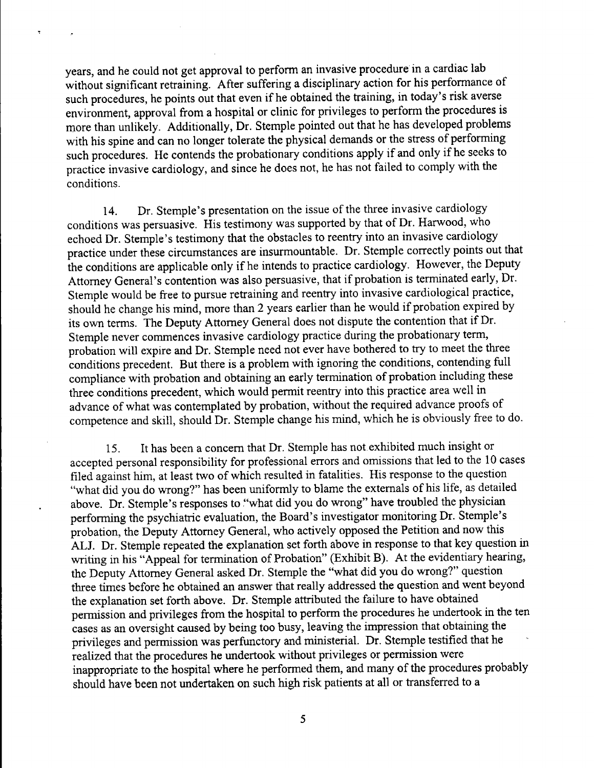years, and he could not get approval to perform an invasive procedure in a cardiac lab without significant retraining. After suffering a disciplinary action for his performance of such procedures, he points out that even if he obtained the training, in today's risk averse environment, approval from a hospital or clinic for privileges to perform the procedures is more than unlikely. Additionally, Dr. Stemple pointed out that he has developed problems with his spine and can no longer tolerate the physical demands or the stress of performing such procedures. He contends the probationary conditions apply if and only if he seeks to practice invasive cardiology, and since he does not, he has not failed to comply with the conditions.

14. Dr. Stemple's presentation on the issue of the three invasive cardiology conditions was persuasive. His testimony was supported by that of Dr. Harwood, who echoed Dr. Stemple's testimony that the obstacles to reentry into an invasive cardiology practice under these circumstances are insurmountable. Dr. Stemple correctly points out that the conditions are applicable only if he intends to practice cardiology. However, the Deputy Attorney General's contention was also persuasive, that if probation is terminated early, Dr. Stemple would be free to pursue retraining and reentry into invasive cardiological practice, should he change his mind, more than 2 years earlier than he would if probation expired by its own terms. The Deputy Attorney General does not dispute the contention that if Dr. Stemple never commences invasive cardiology practice during the probationary term, probation will expire and Dr. Stemple need not ever have bothered to try to meet the three conditions precedent. But there is a problem with ignoring the conditions, contending full compliance with probation and obtaining an early termination of probation including these three conditions precedent, which would permit reentry into this practice area well in advance of what was contemplated by probation, without the required advance proofs of competence and skill, should Dr. Stemple change his mind, which he is obviously free to do.

15. It has been a concern that Dr. Stemple has not exhibited much insight or accepted personal responsibility for professional errors and omissions that led to the 10 cases filed against him, at least two of which resulted in fatalities. His response to the question "what did you do wrong?" has been uniformly to blame the externals of his life, as detailed above. Dr. Stemple's responses to "what did you do wrong" have troubled the physician performing the psychiatric evaluation, the Board's investigator monitoring Dr. Stemple's probation, the Deputy Attorney General, who actively opposed the Petition and now this ALJ. Dr. Stemple repeated the explanation set forth above in response to that key question in writing in his "Appeal for termination of Probation" (Exhibit B). At the evidentiary hearing, the Deputy Attorney General asked Dr. Stemple the "what did you do wrong?" question three times before he obtained an answer that really addressed the question and went beyond the explanation set forth above. Dr. Stemple attributed the failure to have obtained permission and privileges from the hospital to perform the procedures he undertook in the ten cases as an oversight caused by being too busy, leaving the impression that obtaining the privileges and permission was perfunctory and ministerial. Dr. Stemple testified that he realized that the procedures he undertook without privileges or permission were inappropriate to the hospital where he performed them, and many of the procedures probably should have been not undertaken on such high risk patients at all or transferred to a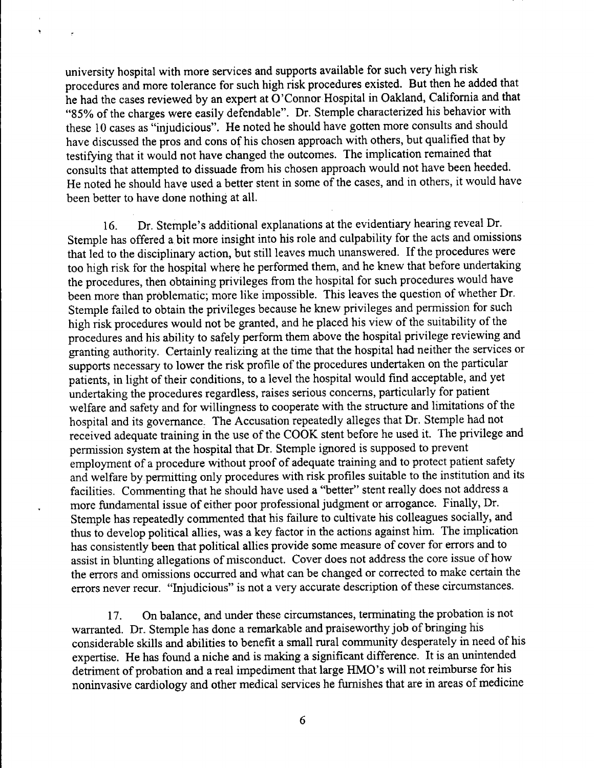university hospital with more services and supports available for such very high risk procedures and more tolerance for such high risk procedures existed. But then he added that he had the cases reviewed by an expert at O'Connor Hospital in Oakland, California and that "85% of the charges were easily defendable". Dr. Stemple characterized his behavior with these 10 cases as "injudicious". He noted he should have gotten more consults and should have discussed the pros and cons of his chosen approach with others, but qualified that by testifying that it would not have changed the outcomes. The implication remained that consults that attempted to dissuade from his chosen approach would not have been heeded. He noted he should have used a better stent in some of the cases, and in others, it would have been better to have done nothing at all.

16. Dr. Stemple's additional explanations at the evidentiary hearing reveal Dr. Stemple has offered a bit more insight into his role and culpability for the acts and omissions that led to the disciplinary action, but still leaves much unanswered. If the procedures were too high risk for the hospital where he performed them, and he knew that before undertaking the procedures, then obtaining privileges from the hospital for such procedures would have been more than problematic; more like impossible. This leaves the question of whether Dr. Stemple failed to obtain the privileges because he knew privileges and permission for such high risk procedures would not be granted, and he placed his view of the suitability of the procedures and his ability to safely perform them above the hospital privilege reviewing and granting authority. Certainly realizing at the time that the hospital had neither the services or supports necessary to lower the risk profile of the procedures undertaken on the particular patients, in light of their conditions, to a level the hospital would find acceptable, and yet undertaking the procedures regardless, raises serious concerns, particularly for patient welfare and safety and for willingness to cooperate with the structure and limitations of the hospital and its governance: The Accusation repeatedly alleges that Dr. Stemple had not received adequate training in the use of the COOK stent before he used it. The privilege and permission system at the hospital that Dr. Stemple ignored is supposed to prevent employment of a procedure without proof of adequate training and to protect patient safety and welfare by.permitting only procedures with risk profiles suitable to the institution and its facilities. Commenting that he should have used a "better'' stent really does not address a more fundamental issue of either poor professional judgment or arrogance. Finally, Dr. Stemple has repeatedly commented that his failure to cultivate his colleagues socially, and thus to develop political allies, was a key factor in the actions against him. The implication has consistently been that political allies provide some measure of cover for errors and to assist in blunting allegations of misconduct. Cover does not address the core issue of how the errors and omissions occurred and what can be changed or corrected to make certain the errors never recur. "Injudicious" is not a very accurate description of these circumstances.

<sup>1</sup>7. On balance, and under these circumstances, terminating the probation is not warranted. Dr. Stemple has done a remarkable and praiseworthy job of bringing his considerable skills and abilities to benefit a small rural community desperately in need of his expertise. He has found a niche and is making a significant difference. It is an unintended detriment of probation and a real impediment that large HMO's will not reimburse for his noninvasive cardiology and other medical services he furnishes that are in areas of medicine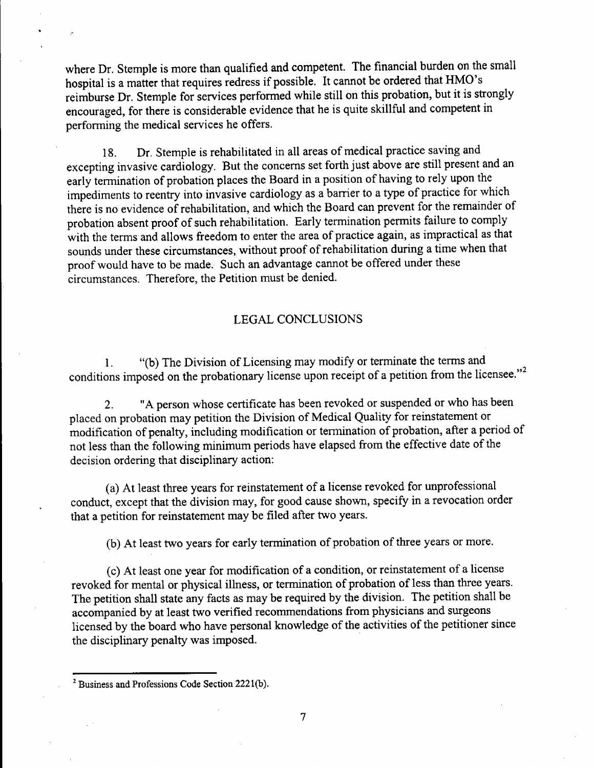where Dr. Stemple is more than qualified and competent. The financial burden on the small hospital is a matter that requires redress if possible. It cannot be ordered that HMO's reimburse Dr. Stemple for services performed while still on this probation, but it is strongly encouraged, for there is considerable evidence that he is quite skillful and competent in performing the medical services he offers.

18. Dr. Stemple is rehabilitated in all areas of medical practice saving and excepting invasive cardiology. But the concerns set forth just above are still present and an early termination of probation places the Board in a position of having to rely upon the impediments to reentry into invasive cardiology as a barrier to a type of practice for which there is no evidence of rehabilitation, and which the Board can prevent for the remainder of probation absent proof of such rehabilitation. Early termination permits failure to comply with the terms and allows freedom to enter the area of practice again, as impractical as that sounds under these circumstances, without proof of rehabilitation during a time when that proof would have to be made. Such an advantage cannot be offered under these circumstances. Therefore, the Petition must be denied.

### LEGAL CONCLUSIONS

1. "(b) The Division of Licensing may modify or terminate the terms and conditions imposed on the probationary license upon receipt of a petition from the licensee."<sup>2</sup>

2. "A person whose certificate has been revoked or suspended or who has been <sup>p</sup>laced on probation may petition the Division of Medical Quality for reinstatement or modification of penalty, including modification or termination of probation, after a period of not less than the following minimum periods have elapsed from the effective date of the decision ordering that disciplinary action:

(a) At least three years for reinstatement of a license revoked for unprofessional conduct, except that the division may, for good cause shown, specify in a revocation order that a petition for reinstatement may be filed after two years.

(b) At least two years for early termination of probation of three years or more.

(c) At least one year for modification of a condition, or reinstatement of a license revoked for mental or physical illness, or termination of probation of less than three years. The petition shall state any facts as may be required by the division. The petition shall be accompanied by at least two verified recommendations from physicians and surgeons licensed by the board who have personal knowledge of the activities of the petitioner since the disciplinary penalty was imposed.

7

 $2$  Business and Professions Code Section 2221(b).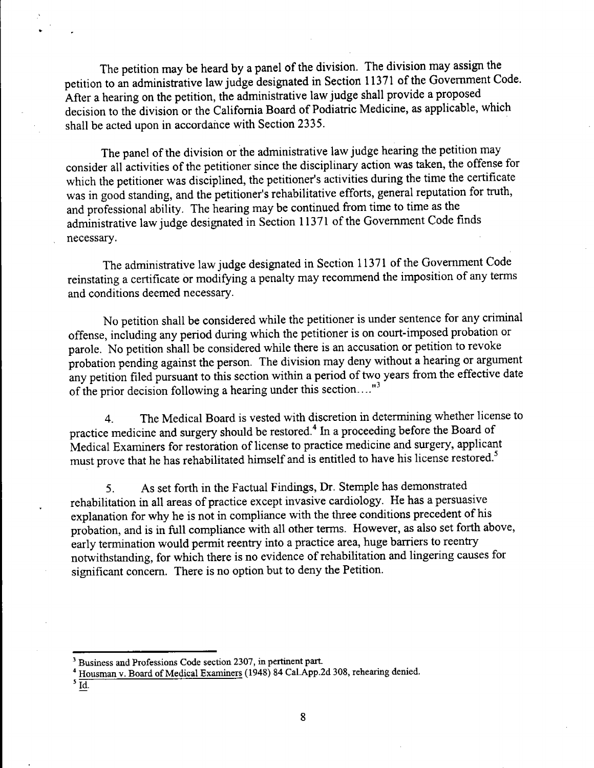The petition may be heard by a panel of the division. The division may assign the petition to an administrative law judge designated in Section 11371 of the Government Code. After a hearing on the petition, the administrative law judge shall provide a proposed decision to the division or the California Board of Podiatric Medicine, as applicable, which shall be acted upon in accordance with Section 2335.

The panel of the division or the administrative law judge hearing the petition may consider all activities of the petitioner since the disciplinary action was taken, the offense for which the petitioner was disciplined, the petitioner's activities during the time the certificate was in good standing, and the petitioner's rehabilitative efforts, general reputation for truth, and professional ability. The hearing may be continued from time to time as the administrative law judge designated in Section 11371 of the Government Code finds necessary.

The administrative law judge designated in Section <sup>113</sup>71 of the Government Code reinstating a certificate or modifying a penalty may recommend the imposition of any terms and conditions deemed necessary.

No petition shall be considered while the petitioner is under sentence for any criminal offense, including any period during which the petitioner is on court-imposed probation or parole. No petition shall be considered while there is an accusation or petition to revoke probation pending against the person. The division may deny without a hearing or argument any petition filed pursuant to this section within a period of two years from the effective date of the prior decision following a hearing under this section...."<sup>3</sup>

4. The Medical Board is vested with discretion in determining whether license to practice medicine and surgery should be restored.<sup>4</sup> In a proceeding before the Board of Medical Examiners for restoration of license to practice medicine and surgery, applicant must prove that he has rehabilitated himself and is entitled to have his license restored. *<sup>5</sup>*

5. As set forth in the Factual Findings, Dr. Stemple has demonstrated rehabilitation in all areas of practice except invasive cardiology. He has a persuasive explanation for why he is not in compliance with the three conditions precedent of his probation, and is in full compliance with all other terms. However, as also set forth above, early termination would permit reentry into a practice area, huge barriers to reentry notwithstanding, for which there is no evidence of rehabilitation and lingering causes for significant concern. There is no option but to deny the Petition.

 $\overline{5}$ Id.

<sup>3</sup> Business and Professions Code section 2307, in pertinent part.

<sup>&</sup>lt;sup>4</sup> Housman v. Board of Medical Examiners (1948) 84 Cal.App.2d 308, rehearing denied.